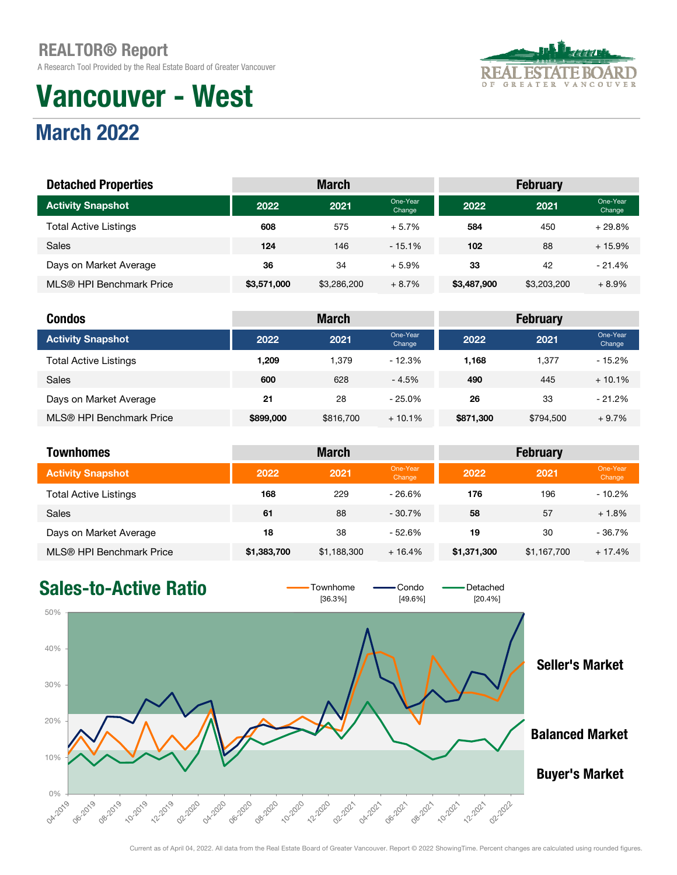A Research Tool Provided by the Real Estate Board of Greater Vancouver

## Vancouver - West



| <b>REAL ESTATE BOARD</b>   |
|----------------------------|
| GREATER VANCOUVER<br>0 F - |

| <b>Detached Properties</b>   |             | <b>March</b> |                    | <b>February</b> |             |                    |  |
|------------------------------|-------------|--------------|--------------------|-----------------|-------------|--------------------|--|
| <b>Activity Snapshot</b>     | 2022        | 2021         | One-Year<br>Change | 2022            | 2021        | One-Year<br>Change |  |
| <b>Total Active Listings</b> | 608         | 575          | $+5.7%$            | 584             | 450         | $+29.8%$           |  |
| <b>Sales</b>                 | 124         | 146          | $-15.1%$           | 102             | 88          | $+15.9%$           |  |
| Days on Market Average       | 36          | 34           | $+5.9%$            | 33              | 42          | $-21.4%$           |  |
| MLS® HPI Benchmark Price     | \$3,571,000 | \$3,286,200  | $+8.7%$            | \$3,487,900     | \$3,203,200 | $+8.9%$            |  |

| <b>Condos</b>                |           | <b>March</b> |                    |           | <b>February</b> |                    |
|------------------------------|-----------|--------------|--------------------|-----------|-----------------|--------------------|
| <b>Activity Snapshot</b>     | 2022      | 2021         | One-Year<br>Change | 2022      | 2021            | One-Year<br>Change |
| <b>Total Active Listings</b> | 1,209     | 1.379        | - 12.3%            | 1,168     | 1.377           | $-15.2%$           |
| <b>Sales</b>                 | 600       | 628          | $-4.5%$            | 490       | 445             | $+10.1%$           |
| Days on Market Average       | 21        | 28           | $-25.0\%$          | 26        | 33              | $-21.2%$           |
| MLS® HPI Benchmark Price     | \$899,000 | \$816,700    | $+10.1\%$          | \$871,300 | \$794,500       | $+9.7%$            |

| Townhomes                    |             | <b>March</b><br><b>February</b> |                    |             |             |                    |
|------------------------------|-------------|---------------------------------|--------------------|-------------|-------------|--------------------|
| <b>Activity Snapshot</b>     | 2022        | 2021                            | One-Year<br>Change | 2022        | 2021        | One-Year<br>Change |
| <b>Total Active Listings</b> | 168         | 229                             | $-26.6%$           | 176         | 196         | $-10.2%$           |
| <b>Sales</b>                 | 61          | 88                              | $-30.7%$           | 58          | 57          | $+1.8%$            |
| Days on Market Average       | 18          | 38                              | $-52.6%$           | 19          | 30          | $-36.7%$           |
| MLS® HPI Benchmark Price     | \$1,383,700 | \$1,188,300                     | $+16.4%$           | \$1,371,300 | \$1,167,700 | $+17.4%$           |

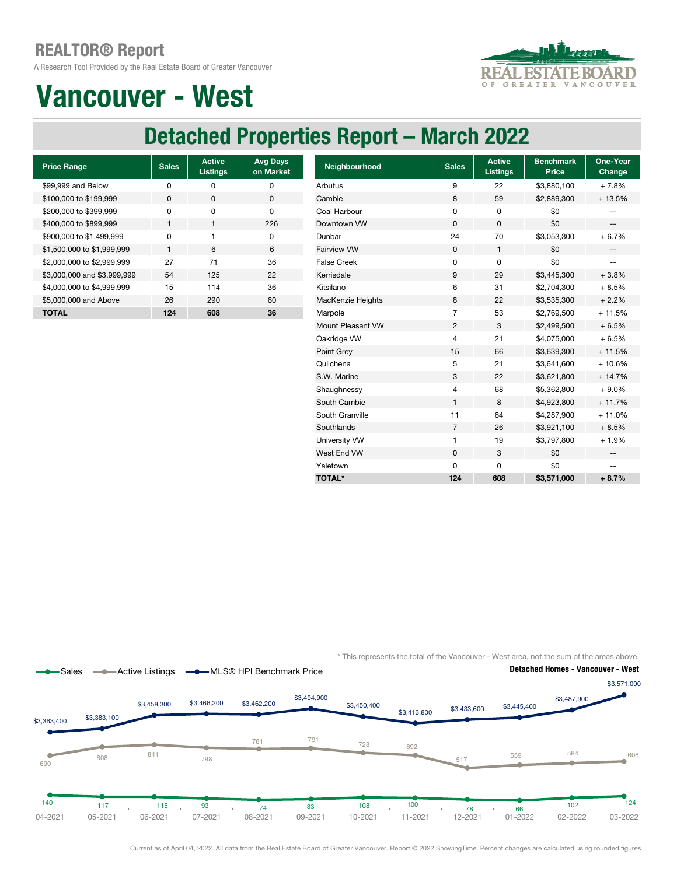A Research Tool Provided by the Real Estate Board of Greater Vancouver



### Vancouver - West

#### Detached Properties Report – March 2022

| <b>Price Range</b>          | <b>Sales</b> | <b>Active</b><br><b>Listings</b> | <b>Avg Days</b><br>on Market |
|-----------------------------|--------------|----------------------------------|------------------------------|
| \$99,999 and Below          | ŋ            | ŋ                                | ŋ                            |
| \$100,000 to \$199,999      | 0            | O                                | $\Omega$                     |
| \$200,000 to \$399,999      | ŋ            | O                                | O                            |
| \$400,000 to \$899,999      | 1            | 1                                | 226                          |
| \$900,000 to \$1,499,999    | ŋ            |                                  | O                            |
| \$1,500,000 to \$1,999,999  | 1            | 6                                | 6                            |
| \$2,000,000 to \$2,999,999  | 27           | 71                               | 36                           |
| \$3,000,000 and \$3,999,999 | 54           | 125                              | 22                           |
| \$4,000,000 to \$4,999,999  | 15           | 114                              | 36                           |
| \$5,000,000 and Above       | 26           | 290                              | 60                           |
| TOTAL                       | 124          | 608                              | 36                           |

| <b>Price Range</b>          | <b>Sales</b> | <b>Active</b><br><b>Listings</b> | <b>Avg Days</b><br>on Market | Neighbourhood      | <b>Sales</b>   | <b>Active</b><br>Listings | <b>Benchmark</b><br>Price | One-Year<br>Change       |
|-----------------------------|--------------|----------------------------------|------------------------------|--------------------|----------------|---------------------------|---------------------------|--------------------------|
| \$99,999 and Below          | $\pmb{0}$    | $\mathbf 0$                      | $\pmb{0}$                    | Arbutus            | 9              | 22                        | \$3,880,100               | $+7.8%$                  |
| \$100,000 to \$199,999      | 0            | 0                                | $\mathbf 0$                  | Cambie             | 8              | 59                        | \$2,889,300               | $+13.5%$                 |
| \$200,000 to \$399,999      | $\pmb{0}$    | $\mathbf 0$                      | $\mathbf 0$                  | Coal Harbour       | $\mathbf 0$    | 0                         | \$0                       |                          |
| \$400,000 to \$899,999      | $\mathbf{1}$ | $\mathbf{1}$                     | 226                          | Downtown VW        | 0              | 0                         | \$0                       | $-\, -$                  |
| \$900,000 to \$1,499,999    | $\mathbf 0$  |                                  | $\pmb{0}$                    | Dunbar             | 24             | 70                        | \$3,053,300               | $+6.7%$                  |
| \$1,500,000 to \$1,999,999  | $\mathbf{1}$ | 6                                | 6                            | <b>Fairview VW</b> | $\mathbf 0$    | $\mathbf{1}$              | \$0                       | $\overline{\phantom{a}}$ |
| \$2,000,000 to \$2,999,999  | 27           | 71                               | 36                           | <b>False Creek</b> | $\mathbf 0$    | 0                         | \$0                       | $\overline{\phantom{a}}$ |
| \$3,000,000 and \$3,999,999 | 54           | 125                              | 22                           | Kerrisdale         | 9              | 29                        | \$3,445,300               | $+3.8%$                  |
| \$4,000,000 to \$4,999,999  | 15           | 114                              | 36                           | Kitsilano          | 6              | 31                        | \$2,704,300               | $+8.5%$                  |
| \$5,000,000 and Above       | 26           | 290                              | 60                           | MacKenzie Heights  | 8              | 22                        | \$3,535,300               | $+2.2%$                  |
| <b>TOTAL</b>                | 124          | 608                              | 36                           | Marpole            | $\overline{7}$ | 53                        | \$2,769,500               | $+11.5%$                 |
|                             |              |                                  |                              | Mount Pleasant VW  | $\overline{2}$ | 3                         | \$2,499,500               | $+6.5%$                  |
|                             |              |                                  |                              | Oakridge VW        | 4              | 21                        | \$4,075,000               | $+6.5%$                  |
|                             |              |                                  |                              | Point Grey         | 15             | 66                        | \$3,639,300               | $+11.5%$                 |
|                             |              |                                  |                              | Quilchena          | 5              | 21                        | \$3,641,600               | $+10.6%$                 |
|                             |              |                                  |                              | S.W. Marine        | 3              | 22                        | \$3,621,800               | $+14.7%$                 |
|                             |              |                                  |                              | Shaughnessy        | 4              | 68                        | \$5,362,800               | $+9.0%$                  |
|                             |              |                                  |                              | South Cambie       | $\mathbf{1}$   | 8                         | \$4,923,800               | $+11.7%$                 |
|                             |              |                                  |                              | South Granville    | 11             | 64                        | \$4,287,900               | $+11.0%$                 |
|                             |              |                                  |                              | Southlands         | 7              | 26                        | \$3,921,100               | $+8.5%$                  |
|                             |              |                                  |                              | University VW      | 1              | 19                        | \$3,797,800               | $+1.9%$                  |
|                             |              |                                  |                              | West End VW        | 0              | 3                         | \$0                       | $\overline{\phantom{a}}$ |
|                             |              |                                  |                              | Yaletown           | $\mathbf 0$    | 0                         | \$0                       | $\overline{\phantom{m}}$ |
|                             |              |                                  |                              | <b>TOTAL*</b>      | 124            | 608                       | \$3,571,000               | $+8.7%$                  |

\* This represents the total of the Vancouver - West area, not the sum of the areas above.



Current as of April 04, 2022. All data from the Real Estate Board of Greater Vancouver. Report © 2022 ShowingTime. Percent changes are calculated using rounded figures.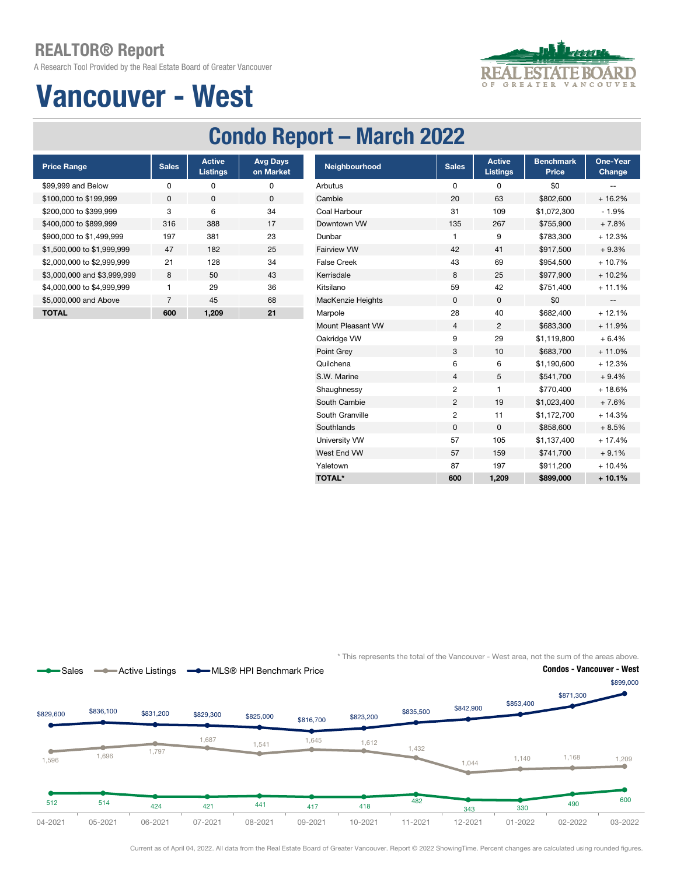A Research Tool Provided by the Real Estate Board of Greater Vancouver

# $\circ$



### Vancouver - West

### Condo Report – March 2022

| <b>Price Range</b>          | <b>Sales</b> | <b>Active</b><br><b>Listings</b> | <b>Avg Days</b><br>on Market |
|-----------------------------|--------------|----------------------------------|------------------------------|
| \$99,999 and Below          | ŋ            | ŋ                                | ŋ                            |
| \$100,000 to \$199,999      | <sup>0</sup> | O                                | 0                            |
| \$200,000 to \$399,999      | 3            | 6                                | 34                           |
| \$400,000 to \$899,999      | 316          | 388                              | 17                           |
| \$900,000 to \$1,499,999    | 197          | 381                              | 23                           |
| \$1,500,000 to \$1,999,999  | 47           | 182                              | 25                           |
| \$2,000,000 to \$2,999,999  | 21           | 128                              | 34                           |
| \$3,000,000 and \$3,999,999 | 8            | 50                               | 43                           |
| \$4,000,000 to \$4,999,999  | 1            | 29                               | 36                           |
| \$5,000,000 and Above       | 7            | 45                               | 68                           |
| <b>TOTAL</b>                | 600          | 1.209                            | 21                           |

| <b>Price Range</b>          | <b>Sales</b>   | <b>Active</b><br><b>Listings</b> | <b>Avg Days</b><br>on Market | Neighbourhood      | <b>Sales</b>   | <b>Active</b><br><b>Listings</b> | <b>Benchmark</b><br>Price | One-Year<br>Change       |
|-----------------------------|----------------|----------------------------------|------------------------------|--------------------|----------------|----------------------------------|---------------------------|--------------------------|
| \$99,999 and Below          | 0              | 0                                | 0                            | Arbutus            | 0              | 0                                | \$0                       | --                       |
| \$100,000 to \$199,999      | 0              | 0                                | $\mathbf 0$                  | Cambie             | 20             | 63                               | \$802,600                 | $+16.2%$                 |
| \$200,000 to \$399.999      | 3              | 6                                | 34                           | Coal Harbour       | 31             | 109                              | \$1,072,300               | $-1.9%$                  |
| \$400,000 to \$899,999      | 316            | 388                              | 17                           | Downtown VW        | 135            | 267                              | \$755,900                 | $+7.8%$                  |
| \$900,000 to \$1,499,999    | 197            | 381                              | 23                           | Dunbar             | 1              | 9                                | \$783,300                 | $+12.3%$                 |
| \$1,500,000 to \$1,999,999  | 47             | 182                              | 25                           | <b>Fairview VW</b> | 42             | 41                               | \$917,500                 | $+9.3%$                  |
| \$2,000,000 to \$2,999,999  | 21             | 128                              | 34                           | <b>False Creek</b> | 43             | 69                               | \$954,500                 | $+10.7%$                 |
| \$3,000,000 and \$3,999,999 | 8              | 50                               | 43                           | Kerrisdale         | 8              | 25                               | \$977,900                 | $+10.2%$                 |
| \$4,000,000 to \$4,999,999  | 1              | 29                               | 36                           | Kitsilano          | 59             | 42                               | \$751,400                 | $+11.1%$                 |
| \$5,000,000 and Above       | $\overline{7}$ | 45                               | 68                           | MacKenzie Heights  | $\mathbf 0$    | $\mathbf 0$                      | \$0                       | $\overline{\phantom{a}}$ |
| <b>TOTAL</b>                | 600            | 1,209                            | 21                           | Marpole            | 28             | 40                               | \$682,400                 | $+12.1%$                 |
|                             |                |                                  |                              | Mount Pleasant VW  | 4              | $\overline{2}$                   | \$683,300                 | $+11.9%$                 |
|                             |                |                                  |                              | Oakridge VW        | 9              | 29                               | \$1,119,800               | $+6.4%$                  |
|                             |                |                                  |                              | Point Grey         | 3              | 10                               | \$683,700                 | $+11.0%$                 |
|                             |                |                                  |                              | Quilchena          | 6              | 6                                | \$1,190,600               | $+12.3%$                 |
|                             |                |                                  |                              | S.W. Marine        | 4              | 5                                | \$541,700                 | $+9.4%$                  |
|                             |                |                                  |                              | Shaughnessy        | 2              |                                  | \$770,400                 | $+18.6%$                 |
|                             |                |                                  |                              | South Cambie       | $\overline{c}$ | 19                               | \$1,023,400               | $+7.6%$                  |
|                             |                |                                  |                              | South Granville    | $\overline{c}$ | 11                               | \$1,172,700               | $+14.3%$                 |
|                             |                |                                  |                              | Southlands         | $\mathbf 0$    | 0                                | \$858,600                 | $+8.5%$                  |
|                             |                |                                  |                              | University VW      | 57             | 105                              | \$1,137,400               | $+17.4%$                 |
|                             |                |                                  |                              | West End VW        | 57             | 159                              | \$741,700                 | $+9.1%$                  |
|                             |                |                                  |                              | Yaletown           | 87             | 197                              | \$911,200                 | $+10.4%$                 |
|                             |                |                                  |                              | <b>TOTAL*</b>      | 600            | 1,209                            | \$899,000                 | $+10.1%$                 |

\* This represents the total of the Vancouver - West area, not the sum of the areas above.



Current as of April 04, 2022. All data from the Real Estate Board of Greater Vancouver. Report © 2022 ShowingTime. Percent changes are calculated using rounded figures.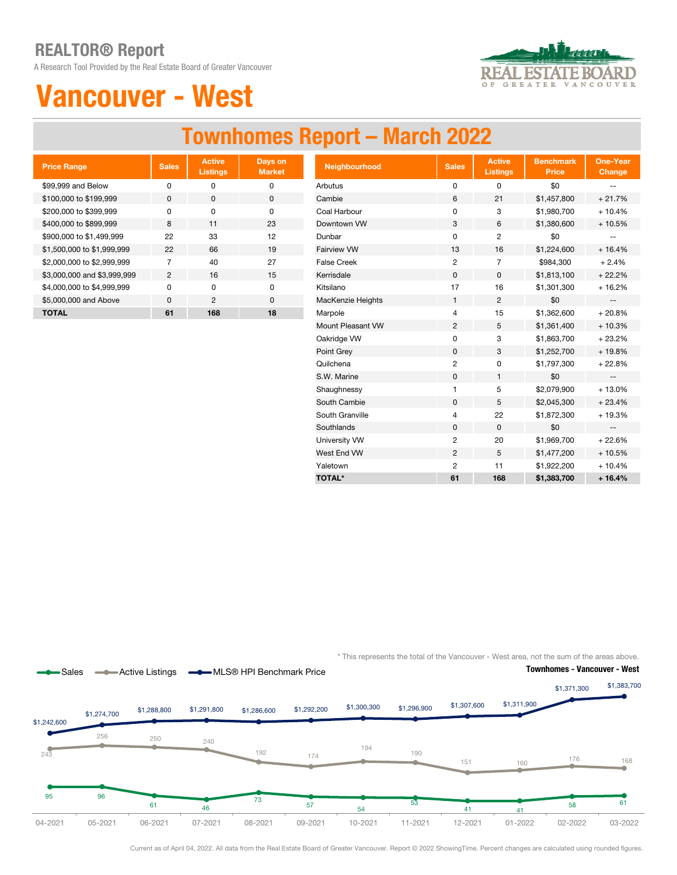A Research Tool Provided by the Real Estate Board of Greater Vancouver



### Vancouver - West

### Townhomes Report – March 2022

| <b>Price Range</b>          | <b>Sales</b>   | <b>Active</b><br><b>Listings</b> | Days on<br><b>Market</b> |
|-----------------------------|----------------|----------------------------------|--------------------------|
| \$99,999 and Below          | ŋ              | o                                | O                        |
| \$100,000 to \$199,999      | $\Omega$       | <sup>0</sup>                     | $\Omega$                 |
| \$200,000 to \$399,999      | ŋ              | $\Omega$                         | O                        |
| \$400,000 to \$899,999      | 8              | 11                               | 23                       |
| \$900,000 to \$1,499,999    | 22             | 33                               | 12                       |
| \$1,500,000 to \$1,999,999  | 22             | 66                               | 19                       |
| \$2,000,000 to \$2,999,999  | 7              | 40                               | 27                       |
| \$3,000,000 and \$3,999,999 | $\mathfrak{p}$ | 16                               | 15                       |
| \$4,000,000 to \$4,999,999  | <sup>0</sup>   | U                                | O                        |
| \$5,000,000 and Above       | $\Omega$       | $\mathfrak{p}$                   | 0                        |
| TOTAL                       | 61             | 168                              | 18                       |

| <b>Price Range</b>          | <b>Sales</b>   | <b>Active</b><br><b>Listings</b> | Days on<br><b>Market</b> | Neighbourhood      | <b>Sales</b>   | <b>Active</b><br><b>Listings</b> | <b>Benchmark</b><br><b>Price</b> | <b>One-Year</b><br><b>Change</b>              |
|-----------------------------|----------------|----------------------------------|--------------------------|--------------------|----------------|----------------------------------|----------------------------------|-----------------------------------------------|
| \$99,999 and Below          | $\pmb{0}$      | 0                                | 0                        | Arbutus            | 0              | 0                                | \$0                              | $-$                                           |
| \$100,000 to \$199,999      | 0              | $\mathbf 0$                      | $\mathbf 0$              | Cambie             | 6              | 21                               | \$1,457,800                      | $+21.7%$                                      |
| \$200,000 to \$399,999      | 0              | 0                                | 0                        | Coal Harbour       | 0              | 3                                | \$1,980,700                      | $+10.4%$                                      |
| \$400,000 to \$899,999      | 8              | 11                               | 23                       | Downtown VW        | 3              | 6                                | \$1,380,600                      | $+10.5%$                                      |
| \$900,000 to \$1,499,999    | 22             | 33                               | 12                       | Dunbar             | $\mathbf 0$    | 2                                | \$0                              |                                               |
| \$1,500,000 to \$1,999,999  | 22             | 66                               | 19                       | Fairview VW        | 13             | 16                               | \$1,224,600                      | $+16.4%$                                      |
| \$2,000,000 to \$2,999,999  | $\overline{7}$ | 40                               | 27                       | <b>False Creek</b> | $\overline{2}$ | $\overline{7}$                   | \$984,300                        | $+2.4%$                                       |
| \$3,000,000 and \$3,999,999 | $\overline{2}$ | 16                               | 15                       | Kerrisdale         | 0              | 0                                | \$1,813,100                      | $+22.2%$                                      |
| \$4,000,000 to \$4,999,999  | 0              | 0                                | 0                        | Kitsilano          | 17             | 16                               | \$1,301,300                      | $+16.2%$                                      |
| \$5,000,000 and Above       | 0              | 2                                | 0                        | MacKenzie Heights  | 1              | $\overline{2}$                   | \$0                              | $\overline{\phantom{a}}$                      |
| <b>TOTAL</b>                | 61             | 168                              | 18                       | Marpole            | 4              | 15                               | \$1,362,600                      | $+20.8%$                                      |
|                             |                |                                  |                          | Mount Pleasant VW  | $\overline{c}$ | 5                                | \$1,361,400                      | $+10.3%$                                      |
|                             |                |                                  |                          | Oakridge VW        | 0              | 3                                | \$1,863,700                      | $+23.2%$                                      |
|                             |                |                                  |                          | Point Grey         | 0              | 3                                | \$1,252,700                      | + 19.8%                                       |
|                             |                |                                  |                          | Quilchena          | $\overline{c}$ | 0                                | \$1,797,300                      | $+22.8%$                                      |
|                             |                |                                  |                          | S.W. Marine        | $\pmb{0}$      | 1                                | \$0                              | $\sim$                                        |
|                             |                |                                  |                          | Shaughnessy        | 1              | 5                                | \$2,079,900                      | $+13.0%$                                      |
|                             |                |                                  |                          | South Cambie       | $\mathbf 0$    | 5                                | \$2,045,300                      | $+23.4%$                                      |
|                             |                |                                  |                          | South Granville    | 4              | 22                               | \$1,872,300                      | + 19.3%                                       |
|                             |                |                                  |                          | Southlands         | 0              | $\mathsf{O}$                     | \$0                              | $\mathord{\hspace{1pt}\text{--}\hspace{1pt}}$ |
|                             |                |                                  |                          | University VW      | $\overline{2}$ | 20                               | \$1,969,700                      | $+22.6%$                                      |
|                             |                |                                  |                          | West End VW        | $\overline{2}$ | 5                                | \$1,477,200                      | $+10.5%$                                      |
|                             |                |                                  |                          | Yaletown           | $\overline{2}$ | 11                               | \$1,922,200                      | $+10.4%$                                      |
|                             |                |                                  |                          | <b>TOTAL*</b>      | 61             | 168                              | \$1,383,700                      | $+16.4%$                                      |

\* This represents the total of the Vancouver - West area, not the sum of the areas above.



Current as of April 04, 2022. All data from the Real Estate Board of Greater Vancouver. Report © 2022 ShowingTime. Percent changes are calculated using rounded figures.